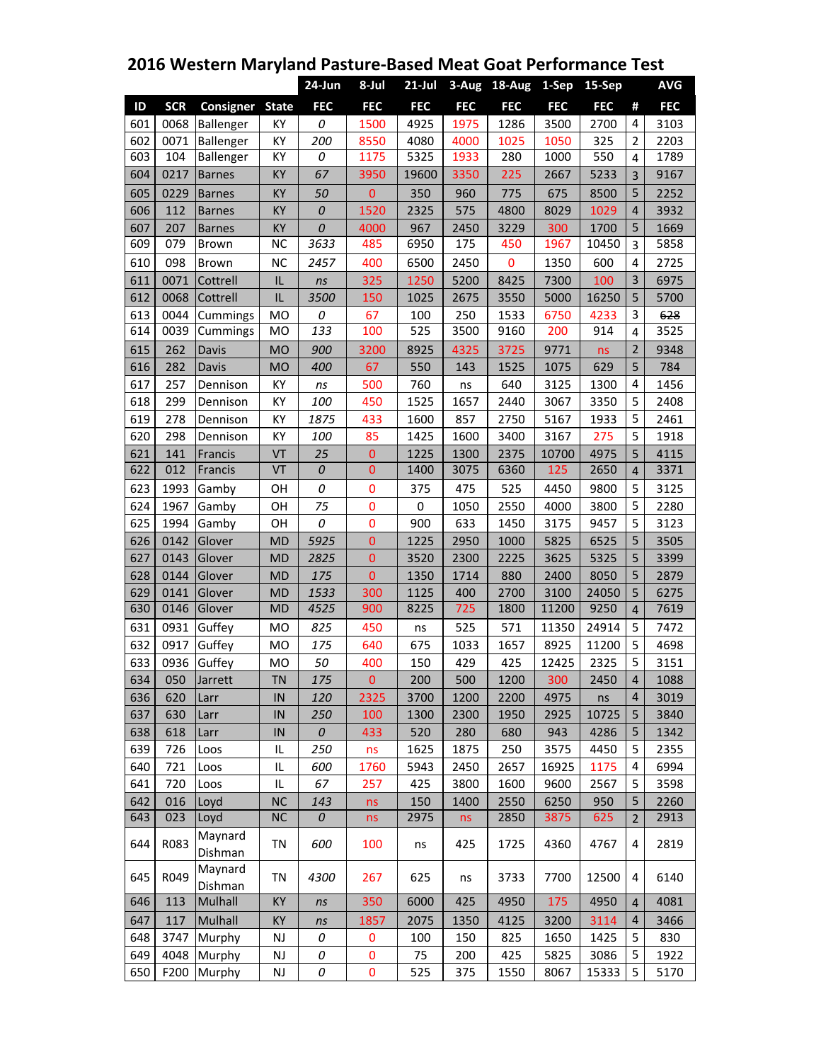|     |            |                    |              | 24-Jun          | 8-Jul          | $21$ -Jul   |            | 3-Aug 18-Aug | 1-Sep      | 15-Sep     |                | <b>AVG</b> |
|-----|------------|--------------------|--------------|-----------------|----------------|-------------|------------|--------------|------------|------------|----------------|------------|
| ID  | <b>SCR</b> | <b>Consigner</b>   | <b>State</b> | <b>FEC</b>      | <b>FEC</b>     | <b>FEC</b>  | <b>FEC</b> | <b>FEC</b>   | <b>FEC</b> | <b>FEC</b> | #              | <b>FEC</b> |
| 601 | 0068       | Ballenger          | KY           | 0               | 1500           | 4925        | 1975       | 1286         | 3500       | 2700       | $\overline{4}$ | 3103       |
| 602 | 0071       | Ballenger          | KY           | 200             | 8550           | 4080        | 4000       | 1025         | 1050       | 325        | $\overline{2}$ | 2203       |
| 603 | 104        | Ballenger          | KY           | 0               | 1175           | 5325        | 1933       | 280          | 1000       | 550        | 4              | 1789       |
| 604 | 0217       | <b>Barnes</b>      | KY           | $\overline{67}$ | 3950           | 19600       | 3350       | 225          | 2667       | 5233       | 3              | 9167       |
| 605 | 0229       | <b>Barnes</b>      | KY           | 50              | $\mathbf{0}$   | 350         | 960        | 775          | 675        | 8500       | 5              | 2252       |
| 606 | 112        | <b>Barnes</b>      | KY           | $\cal O$        | 1520           | 2325        | 575        | 4800         | 8029       | 1029       | $\overline{4}$ | 3932       |
| 607 | 207        | <b>Barnes</b>      | KY           | 0               | 4000           | 967         | 2450       | 3229         | 300        | 1700       | 5              | 1669       |
| 609 | 079        | Brown              | <b>NC</b>    | 3633            | 485            | 6950        | 175        | 450          | 1967       | 10450      | 3              | 5858       |
| 610 | 098        | Brown              | <b>NC</b>    | 2457            | 400            | 6500        | 2450       | $\mathbf 0$  | 1350       | 600        | 4              | 2725       |
| 611 | 0071       | Cottrell           | IL           | ns              | 325            | 1250        | 5200       | 8425         | 7300       | 100        | $\overline{3}$ | 6975       |
| 612 | 0068       | Cottrell           | IL           | 3500            | 150            | 1025        | 2675       | 3550         | 5000       | 16250      | 5              | 5700       |
| 613 | 0044       | Cummings           | <b>MO</b>    | 0               | 67             | 100         | 250        | 1533         | 6750       | 4233       | 3              | 628        |
| 614 | 0039       | Cummings           | MO           | 133             | 100            | 525         | 3500       | 9160         | 200        | 914        | 4              | 3525       |
| 615 | 262        | Davis              | <b>MO</b>    | 900             | 3200           | 8925        | 4325       | 3725         | 9771       | ns         | $\overline{2}$ | 9348       |
| 616 | 282        | <b>Davis</b>       | <b>MO</b>    | 400             | 67             | 550         | 143        | 1525         | 1075       | 629        | 5              | 784        |
| 617 | 257        | Dennison           | KY           | ns              | 500            | 760         | ns         | 640          | 3125       | 1300       | 4              | 1456       |
| 618 | 299        | Dennison           | KY           | 100             | 450            | 1525        | 1657       | 2440         | 3067       | 3350       | 5              | 2408       |
| 619 | 278        | Dennison           | KY           | 1875            | 433            | 1600        | 857        | 2750         | 5167       | 1933       | 5              | 2461       |
| 620 | 298        | Dennison           | KY           | 100             | 85             | 1425        | 1600       | 3400         | 3167       | 275        | 5              | 1918       |
| 621 | 141        | Francis            | VT           | 25              | $\mathbf{0}$   | 1225        | 1300       | 2375         | 10700      | 4975       | 5              | 4115       |
| 622 | 012        | Francis            | VT           | 0               | $\overline{0}$ | 1400        | 3075       | 6360         | 125        | 2650       | $\overline{4}$ | 3371       |
| 623 | 1993       | Gamby              | OH           | 0               | 0              | 375         | 475        | 525          | 4450       | 9800       | 5              | 3125       |
| 624 | 1967       | Gamby              | OH           | 75              | $\mathbf 0$    | $\mathbf 0$ | 1050       | 2550         | 4000       | 3800       | 5              | 2280       |
| 625 | 1994       | Gamby              | OH           | 0               | $\bf{0}$       | 900         | 633        | 1450         | 3175       | 9457       | 5              | 3123       |
| 626 | 0142       | Glover             | <b>MD</b>    | 5925            | $\mathbf{0}$   | 1225        | 2950       | 1000         | 5825       | 6525       | 5              | 3505       |
| 627 | 0143       | Glover             | <b>MD</b>    | 2825            | $\overline{0}$ | 3520        | 2300       | 2225         | 3625       | 5325       | 5              | 3399       |
| 628 | 0144       | Glover             | <b>MD</b>    | 175             | $\mathbf{0}$   | 1350        | 1714       | 880          | 2400       | 8050       | 5              | 2879       |
| 629 | 0141       | Glover             | <b>MD</b>    | 1533            | 300            | 1125        | 400        | 2700         | 3100       | 24050      | 5              | 6275       |
| 630 | 0146       | Glover             | <b>MD</b>    | 4525            | 900            | 8225        | 725        | 1800         | 11200      | 9250       | $\overline{4}$ | 7619       |
| 631 | 0931       | Guffey             | <b>MO</b>    | 825             | 450            | ns          | 525        | 571          | 11350      | 24914      | 5              | 7472       |
| 632 | 0917       | Guffey             | <b>MO</b>    | 175             | 640            | 675         | 1033       | 1657         | 8925       | 11200      | 5              | 4698       |
| 633 | 0936       | Guffey             | <b>MO</b>    | 50              | 400            | 150         | 429        | 425          | 12425      | 2325       | 5              | 3151       |
| 634 | 050        | Jarrett            | <b>TN</b>    | 175             | 0              | 200         | 500        | 1200         |            | 300 2450   | $ 4\rangle$    | 1088       |
| 636 | 620        | Larr               | IN           | 120             | 2325           | 3700        | 1200       | 2200         | 4975       | ns         | $\overline{4}$ | 3019       |
| 637 | 630        | Larr               | IN           | 250             | 100            | 1300        | 2300       | 1950         | 2925       | 10725      | 5              | 3840       |
| 638 | 618        | Larr               | IN           | 0               | 433            | 520         | 280        | 680          | 943        | 4286       | 5              | 1342       |
| 639 | 726        | Loos               | IL           | 250             | ns             | 1625        | 1875       | 250          | 3575       | 4450       | 5              | 2355       |
| 640 | 721        | Loos               | IL           | 600             | 1760           | 5943        | 2450       | 2657         | 16925      | 1175       | 4              | 6994       |
| 641 | 720        | Loos               | IL           | 67              | 257            | 425         | 3800       | 1600         | 9600       | 2567       | 5              | 3598       |
| 642 | 016        | Loyd               | <b>NC</b>    | 143             | ns             | 150         | 1400       | 2550         | 6250       | 950        | 5              | 2260       |
| 643 | 023        | Loyd               | <b>NC</b>    | 0               | ns             | 2975        | ns         | 2850         | 3875       | 625        | $\overline{2}$ | 2913       |
| 644 | R083       | Maynard<br>Dishman | ΤN           | 600             | 100            | ns          | 425        | 1725         | 4360       | 4767       | 4              | 2819       |
| 645 | R049       | Maynard<br>Dishman | TN           | 4300            | 267            | 625         | ns         | 3733         | 7700       | 12500      | 4              | 6140       |
| 646 | 113        | Mulhall            | KY           | ns              | 350            | 6000        | 425        | 4950         | 175        | 4950       | $\overline{4}$ | 4081       |
| 647 | 117        | Mulhall            | KY           | ns              | 1857           | 2075        | 1350       | 4125         | 3200       | 3114       | $\overline{4}$ | 3466       |
| 648 | 3747       | Murphy             | NJ           | 0               | $\pmb{0}$      | 100         | 150        | 825          | 1650       | 1425       | 5              | 830        |
| 649 | 4048       | Murphy             | NJ           | 0               | $\pmb{0}$      | 75          | 200        | 425          | 5825       | 3086       | 5              | 1922       |
| 650 | F200       | Murphy             | NJ           | 0               | $\mathbf 0$    | 525         | 375        | 1550         | 8067       | 15333      | 5              | 5170       |

## **2016 Western Maryland Pasture-Based Meat Goat Performance Test**